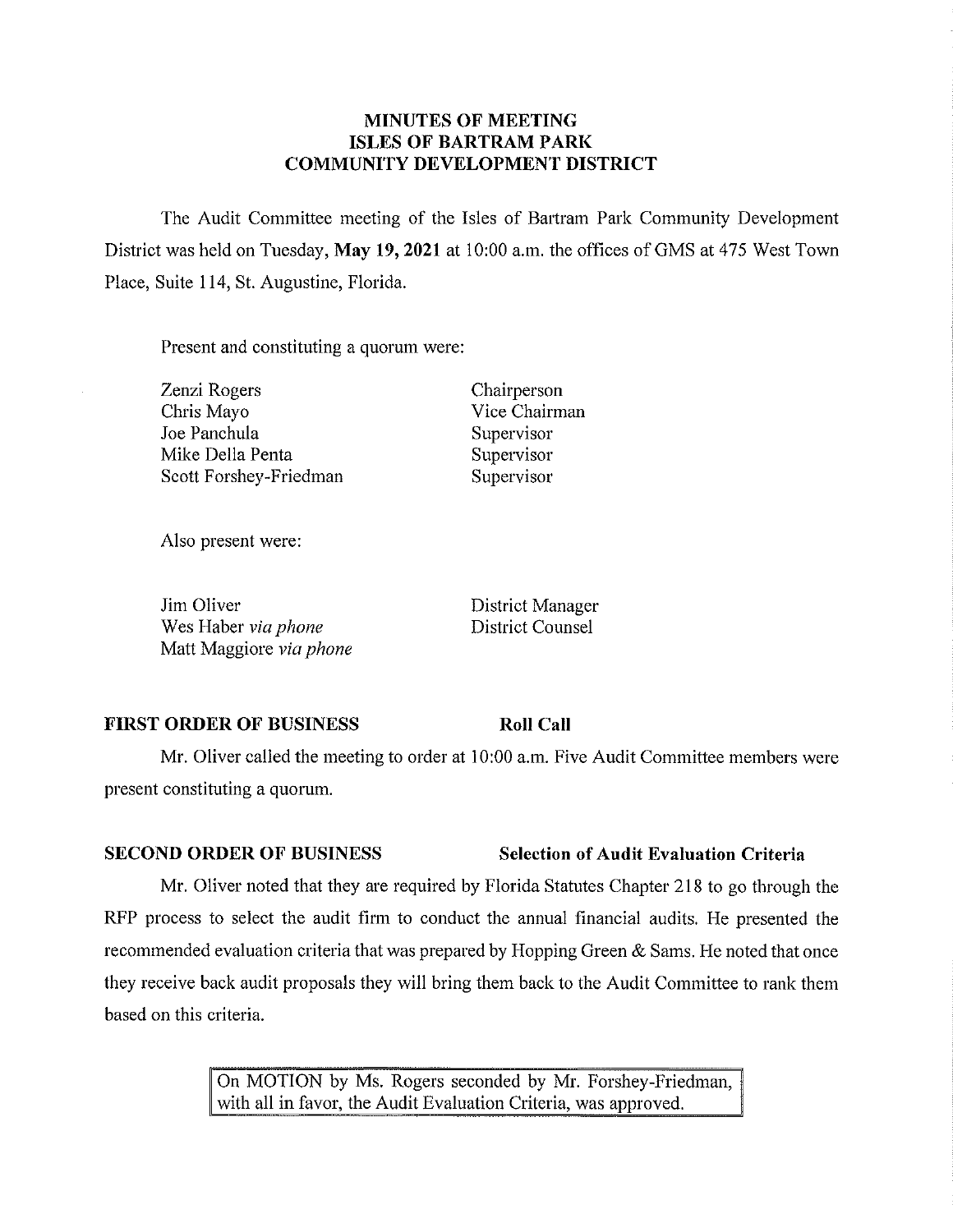## **MINUTES OF MEETING ISLES OF BARTRAM PARK COMMUNITY DEVELOPMENT DISTRICT**

The Audit Committee meeting of the Isles of Bartram Park Community Development District was held on Tuesday, May 19, 2021 at 10:00 a.m. the offices of GMS at 475 West Town Place, Suite 114, St. Augustine, Florida.

Present and constituting a quorum were:

Zenzi Rogers Chris Mayo Joe Panchula Mike Della Penta Scott Forshey-Friedman Chairperson Vice Chairman Supervisor Supervisor Supervisor

Also present were:

Jim Oliver Wes Haber *via phone*  Matt Maggiore *via phone*  District Manager District Counsel

**Roll Call** 

### **FIRST ORDER OF BUSINESS**

Mr. Oliver called the meeting to order at 10:00 a.m. Five Audit Committee members were present constituting a quorum.

Mr. Oliver noted that they are required by Florida Statutes Chapter 218 to go through the RFP process to select the audit finn to conduct the annual financial audits. He presented the recommended evaluation criteria that was prepared by Hopping Green & Sams. He noted that once they receive back audit proposals they will bring them back to the Audit Committee to rank them based on this criteria.

> On MOTION by Ms. Rogers seconded by Mr. Forshey-Friedman, with all in favor, the Audit Evaluation Criteria, was approved.

## **SECOND ORDER OF BUSINESS Selection of Audit Evaluation Criteria**